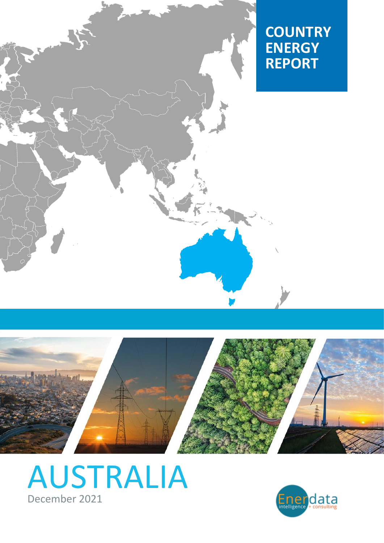



# [AUSTRALIA](https://www.enerdata.net/estore/country-profiles/australia.html) December 2021

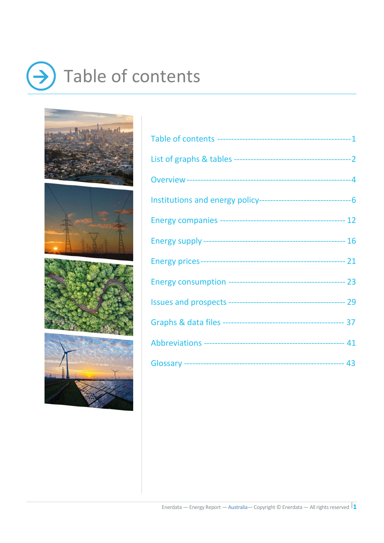# <span id="page-1-0"></span> $\rightarrow$  Table of contents

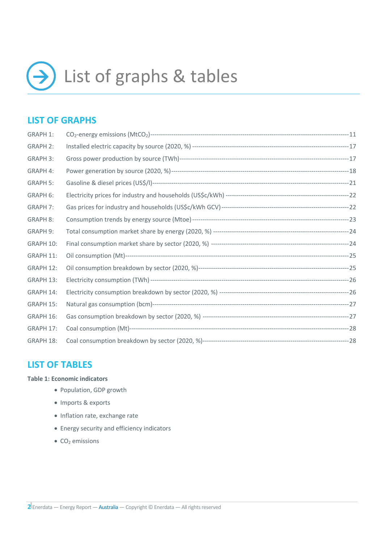<span id="page-2-0"></span>

## **LIST OF GRAPHS**

| <b>GRAPH 1:</b> |  |
|-----------------|--|
| <b>GRAPH 2:</b> |  |
| <b>GRAPH 3:</b> |  |
| GRAPH 4:        |  |
| <b>GRAPH 5:</b> |  |
| GRAPH 6:        |  |
| <b>GRAPH 7:</b> |  |
| <b>GRAPH 8:</b> |  |
| GRAPH 9:        |  |
| GRAPH 10:       |  |
| GRAPH 11:       |  |
| GRAPH 12:       |  |
| GRAPH 13:       |  |
| GRAPH 14:       |  |
| GRAPH 15:       |  |
| GRAPH 16:       |  |
| GRAPH 17:       |  |
| GRAPH 18:       |  |

### **LIST OF TABLES**

#### **Table 1: Economic indicators**

- Population, GDP growth
- Imports & exports
- Inflation rate, exchange rate
- Energy security and efficiency indicators
- $\bullet$  CO<sub>2</sub> emissions